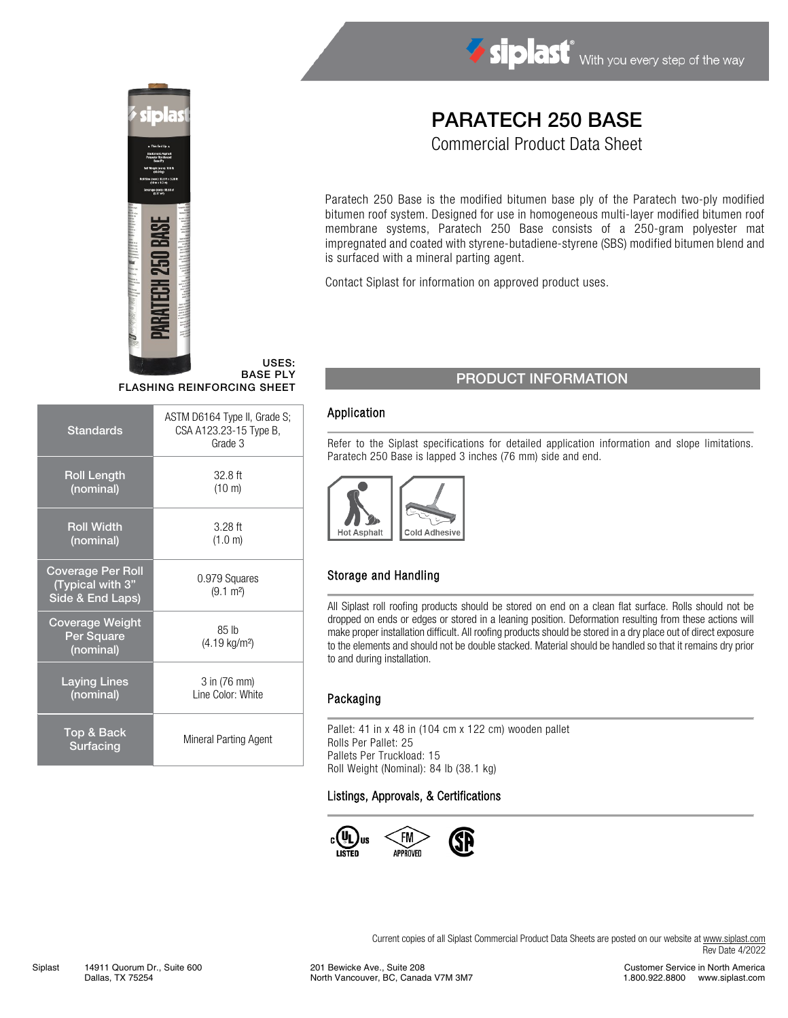

#### USES: BASE PLY

FLASHING REINFORCING SHEET

| <b>Standards</b>                                                 | ASTM D6164 Type II, Grade S;<br>CSA A123.23-15 Type B,<br>Grade 3 |  |
|------------------------------------------------------------------|-------------------------------------------------------------------|--|
| <b>Roll Length</b><br>(nominal)                                  | 32.8 ft<br>$(10 \text{ m})$                                       |  |
| <b>Roll Width</b><br>(nominal)                                   | $3.28$ ft<br>(1.0 m)                                              |  |
| <b>Coverage Per Roll</b><br>(Typical with 3"<br>Side & End Laps) | 0.979 Squares<br>$(9.1 \text{ m}^2)$                              |  |
| <b>Coverage Weight</b><br>Per Square<br>(nominal)                | 85 lb<br>(4.19 kg/m <sup>2</sup> )                                |  |
| <b>Laying Lines</b><br>(nominal)                                 | 3 in (76 mm)<br>Line Color: White                                 |  |
| Top & Back<br>Surfacing                                          | Mineral Parting Agent                                             |  |

# PARATECH 250 BASE

Siplast With you every step of the way

Commercial Product Data Sheet

Paratech 250 Base is the modified bitumen base ply of the Paratech two-ply modified bitumen roof system. Designed for use in homogeneous multi-layer modified bitumen roof membrane systems, Paratech 250 Base consists of a 250-gram polyester mat impregnated and coated with styrene-butadiene-styrene (SBS) modified bitumen blend and is surfaced with a mineral parting agent.

Contact Siplast for information on approved product uses.

## PRODUCT INFORMATION

#### Application

Refer to the Siplast specifications for detailed application information and slope limitations. Paratech 250 Base is lapped 3 inches (76 mm) side and end.



### Storage and Handling

All Siplast roll roofing products should be stored on end on a clean flat surface. Rolls should not be dropped on ends or edges or stored in a leaning position. Deformation resulting from these actions will make proper installation difficult. All roofing products should be stored in a dry place out of direct exposure to the elements and should not be double stacked. Material should be handled so that it remains dry prior to and during installation.

### Packaging

Pallet: 41 in x 48 in (104 cm x 122 cm) wooden pallet Rolls Per Pallet: 25 Pallets Per Truckload: 15 Roll Weight (Nominal): 84 lb (38.1 kg)

#### Listings, Approvals, & Certifications



Current copies of all Siplast Commercial Product Data Sheets are posted on our website at [www.siplast.com](http://www.siplast.com/) Rev Date 4/2022